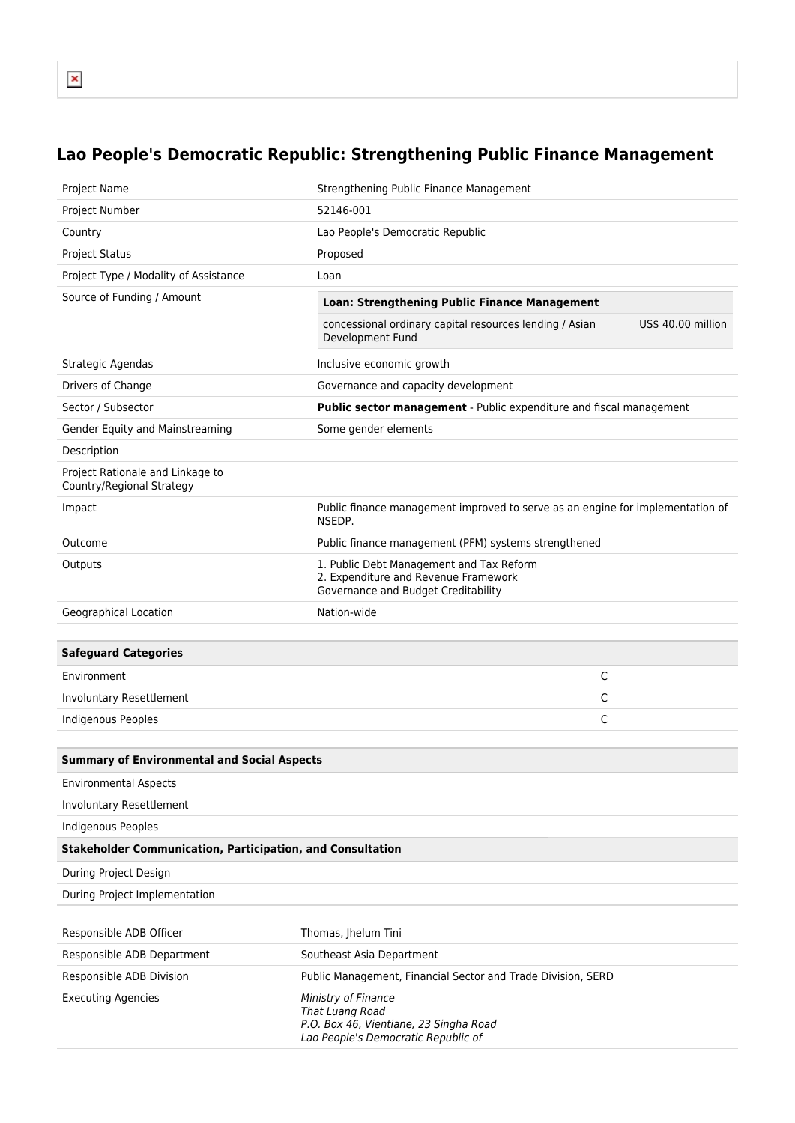## **Lao People's Democratic Republic: Strengthening Public Finance Management**

| Project Name                                                      | Strengthening Public Finance Management                                                                                 |
|-------------------------------------------------------------------|-------------------------------------------------------------------------------------------------------------------------|
| Project Number                                                    | 52146-001                                                                                                               |
| Country                                                           | Lao People's Democratic Republic                                                                                        |
| <b>Project Status</b>                                             | Proposed                                                                                                                |
| Project Type / Modality of Assistance                             | Loan                                                                                                                    |
| Source of Funding / Amount                                        | Loan: Strengthening Public Finance Management                                                                           |
|                                                                   | concessional ordinary capital resources lending / Asian<br>US\$ 40.00 million<br>Development Fund                       |
| Strategic Agendas                                                 | Inclusive economic growth                                                                                               |
| Drivers of Change                                                 | Governance and capacity development                                                                                     |
| Sector / Subsector                                                | Public sector management - Public expenditure and fiscal management                                                     |
| Gender Equity and Mainstreaming                                   | Some gender elements                                                                                                    |
| Description                                                       |                                                                                                                         |
| Project Rationale and Linkage to<br>Country/Regional Strategy     |                                                                                                                         |
| Impact                                                            | Public finance management improved to serve as an engine for implementation of<br>NSEDP.                                |
| Outcome                                                           | Public finance management (PFM) systems strengthened                                                                    |
| Outputs                                                           | 1. Public Debt Management and Tax Reform<br>2. Expenditure and Revenue Framework<br>Governance and Budget Creditability |
| Geographical Location                                             | Nation-wide                                                                                                             |
|                                                                   |                                                                                                                         |
| <b>Safeguard Categories</b>                                       |                                                                                                                         |
| Environment                                                       | C                                                                                                                       |
| Involuntary Resettlement                                          | С                                                                                                                       |
| Indigenous Peoples                                                | C                                                                                                                       |
|                                                                   |                                                                                                                         |
| <b>Summary of Environmental and Social Aspects</b>                |                                                                                                                         |
| <b>Environmental Aspects</b>                                      |                                                                                                                         |
| Involuntary Resettlement                                          |                                                                                                                         |
| <b>Indigenous Peoples</b>                                         |                                                                                                                         |
| <b>Stakeholder Communication, Participation, and Consultation</b> |                                                                                                                         |
| During Project Design                                             |                                                                                                                         |
| During Project Implementation                                     |                                                                                                                         |
|                                                                   |                                                                                                                         |
| Responsible ADB Officer                                           | Thomas, Jhelum Tini                                                                                                     |
| Responsible ADB Department                                        | Southeast Asia Department                                                                                               |
| Responsible ADB Division                                          | Public Management, Financial Sector and Trade Division, SERD                                                            |
| <b>Executing Agencies</b>                                         | Ministry of Finance<br>That Luang Road<br>P.O. Box 46, Vientiane, 23 Singha Road<br>Lao People's Democratic Republic of |